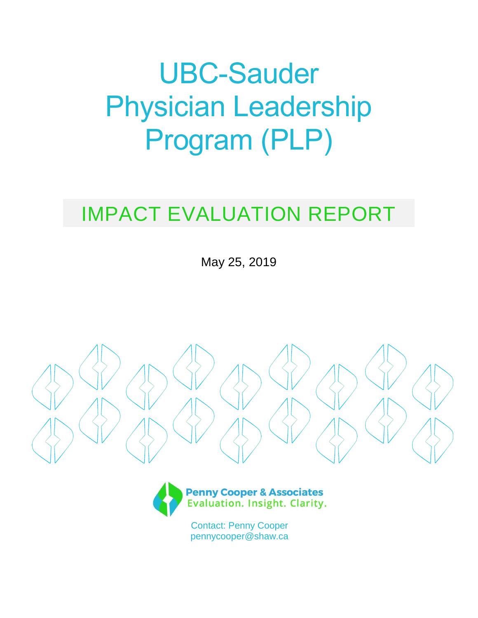# UBC-Sauder Physician Leadership Program (PLP)

# IMPACT EVALUATION REPORT

May 25, 2019





Contact: Penny Cooper pennycooper@shaw.ca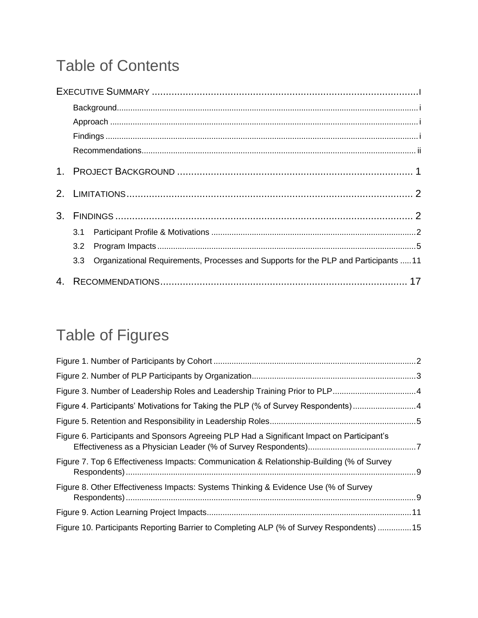# Table of Contents

|    |                  | $Findings \  \, \ldots \  \, \ldots \  \, \ldots \  \, \ldots \  \, \ldots \  \, \ldots \  \, \ldots \  \, \ldots \  \, \ldots \  \, \ldots \  \, \ldots \  \, \ldots \  \, \ldots \  \, \ldots \  \, \ldots \  \, \ldots \  \, \ldots \  \, \ldots \  \, \ldots \  \, \ldots \  \, \ldots \  \, \ldots \  \, \ldots \  \, \ldots \  \, \ldots \  \, \ldots \  \, \ldots \  \, \ldots \  \, \ldots \  \, \ldots \  \, \ldots \$ |
|----|------------------|---------------------------------------------------------------------------------------------------------------------------------------------------------------------------------------------------------------------------------------------------------------------------------------------------------------------------------------------------------------------------------------------------------------------------------|
|    |                  |                                                                                                                                                                                                                                                                                                                                                                                                                                 |
|    |                  |                                                                                                                                                                                                                                                                                                                                                                                                                                 |
|    |                  |                                                                                                                                                                                                                                                                                                                                                                                                                                 |
|    |                  |                                                                                                                                                                                                                                                                                                                                                                                                                                 |
|    | 3.1              |                                                                                                                                                                                                                                                                                                                                                                                                                                 |
|    | 3.2              |                                                                                                                                                                                                                                                                                                                                                                                                                                 |
|    | 3.3 <sub>2</sub> | Organizational Requirements, Processes and Supports for the PLP and Participants 11                                                                                                                                                                                                                                                                                                                                             |
| 4. |                  |                                                                                                                                                                                                                                                                                                                                                                                                                                 |

# Table of Figures

| Figure 4. Participants' Motivations for Taking the PLP (% of Survey Respondents) 4         |  |
|--------------------------------------------------------------------------------------------|--|
|                                                                                            |  |
| Figure 6. Participants and Sponsors Agreeing PLP Had a Significant Impact on Participant's |  |
| Figure 7. Top 6 Effectiveness Impacts: Communication & Relationship-Building (% of Survey  |  |
| Figure 8. Other Effectiveness Impacts: Systems Thinking & Evidence Use (% of Survey        |  |
|                                                                                            |  |
| Figure 10. Participants Reporting Barrier to Completing ALP (% of Survey Respondents) 15   |  |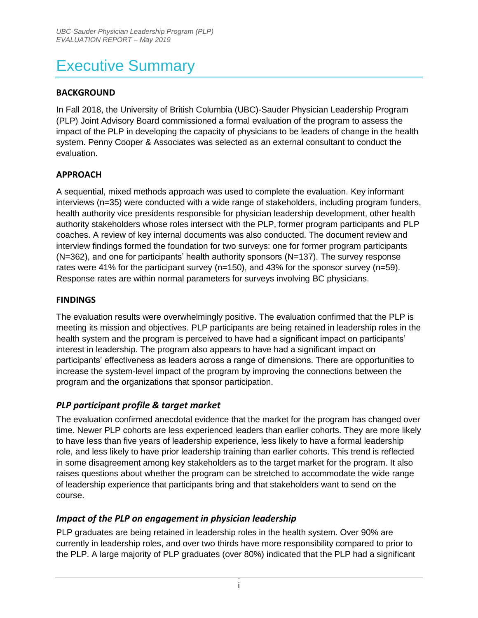# Executive Summary

#### **BACKGROUND**

In Fall 2018, the University of British Columbia (UBC)-Sauder Physician Leadership Program (PLP) Joint Advisory Board commissioned a formal evaluation of the program to assess the impact of the PLP in developing the capacity of physicians to be leaders of change in the health system. Penny Cooper & Associates was selected as an external consultant to conduct the evaluation.

#### **APPROACH**

A sequential, mixed methods approach was used to complete the evaluation. Key informant interviews (n=35) were conducted with a wide range of stakeholders, including program funders, health authority vice presidents responsible for physician leadership development, other health authority stakeholders whose roles intersect with the PLP, former program participants and PLP coaches. A review of key internal documents was also conducted. The document review and interview findings formed the foundation for two surveys: one for former program participants (N=362), and one for participants' health authority sponsors (N=137). The survey response rates were 41% for the participant survey (n=150), and 43% for the sponsor survey (n=59). Response rates are within normal parameters for surveys involving BC physicians.

#### **FINDINGS**

The evaluation results were overwhelmingly positive. The evaluation confirmed that the PLP is meeting its mission and objectives. PLP participants are being retained in leadership roles in the health system and the program is perceived to have had a significant impact on participants' interest in leadership. The program also appears to have had a significant impact on participants' effectiveness as leaders across a range of dimensions. There are opportunities to increase the system-level impact of the program by improving the connections between the program and the organizations that sponsor participation.

#### *PLP participant profile & target market*

The evaluation confirmed anecdotal evidence that the market for the program has changed over time. Newer PLP cohorts are less experienced leaders than earlier cohorts. They are more likely to have less than five years of leadership experience, less likely to have a formal leadership role, and less likely to have prior leadership training than earlier cohorts. This trend is reflected in some disagreement among key stakeholders as to the target market for the program. It also raises questions about whether the program can be stretched to accommodate the wide range of leadership experience that participants bring and that stakeholders want to send on the course.

#### *Impact of the PLP on engagement in physician leadership*

PLP graduates are being retained in leadership roles in the health system. Over 90% are currently in leadership roles, and over two thirds have more responsibility compared to prior to the PLP. A large majority of PLP graduates (over 80%) indicated that the PLP had a significant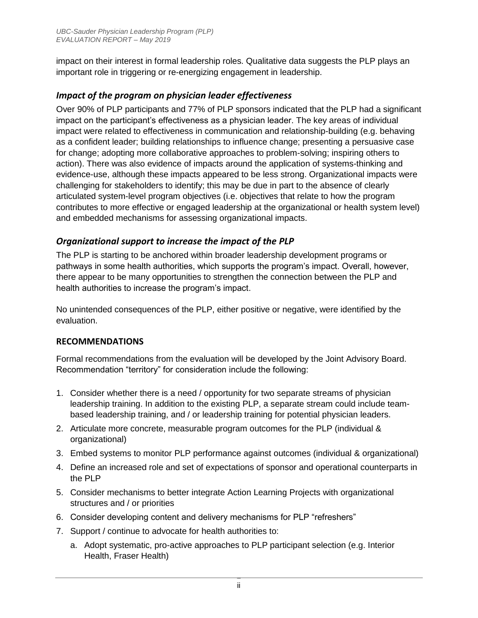impact on their interest in formal leadership roles. Qualitative data suggests the PLP plays an important role in triggering or re-energizing engagement in leadership.

#### *Impact of the program on physician leader effectiveness*

Over 90% of PLP participants and 77% of PLP sponsors indicated that the PLP had a significant impact on the participant's effectiveness as a physician leader. The key areas of individual impact were related to effectiveness in communication and relationship-building (e.g. behaving as a confident leader; building relationships to influence change; presenting a persuasive case for change; adopting more collaborative approaches to problem-solving; inspiring others to action). There was also evidence of impacts around the application of systems-thinking and evidence-use, although these impacts appeared to be less strong. Organizational impacts were challenging for stakeholders to identify; this may be due in part to the absence of clearly articulated system-level program objectives (i.e. objectives that relate to how the program contributes to more effective or engaged leadership at the organizational or health system level) and embedded mechanisms for assessing organizational impacts.

#### *Organizational support to increase the impact of the PLP*

The PLP is starting to be anchored within broader leadership development programs or pathways in some health authorities, which supports the program's impact. Overall, however, there appear to be many opportunities to strengthen the connection between the PLP and health authorities to increase the program's impact.

No unintended consequences of the PLP, either positive or negative, were identified by the evaluation.

#### **RECOMMENDATIONS**

Formal recommendations from the evaluation will be developed by the Joint Advisory Board. Recommendation "territory" for consideration include the following:

- 1. Consider whether there is a need / opportunity for two separate streams of physician leadership training. In addition to the existing PLP, a separate stream could include teambased leadership training, and / or leadership training for potential physician leaders.
- 2. Articulate more concrete, measurable program outcomes for the PLP (individual & organizational)
- 3. Embed systems to monitor PLP performance against outcomes (individual & organizational)
- 4. Define an increased role and set of expectations of sponsor and operational counterparts in the PLP
- 5. Consider mechanisms to better integrate Action Learning Projects with organizational structures and / or priorities
- 6. Consider developing content and delivery mechanisms for PLP "refreshers"
- 7. Support / continue to advocate for health authorities to:
	- a. Adopt systematic, pro-active approaches to PLP participant selection (e.g. Interior Health, Fraser Health)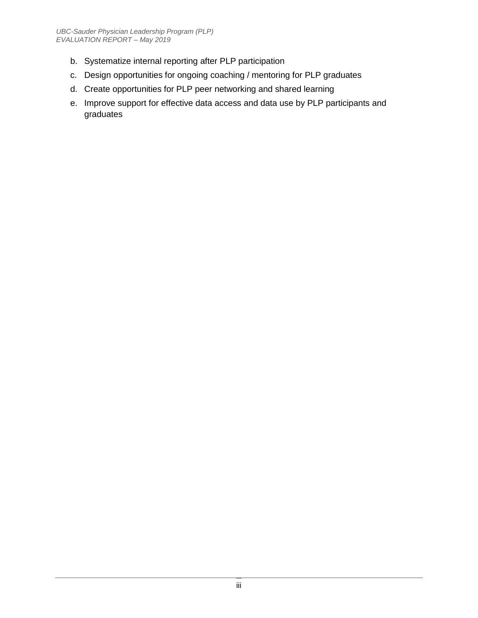- b. Systematize internal reporting after PLP participation
- c. Design opportunities for ongoing coaching / mentoring for PLP graduates
- d. Create opportunities for PLP peer networking and shared learning
- e. Improve support for effective data access and data use by PLP participants and graduates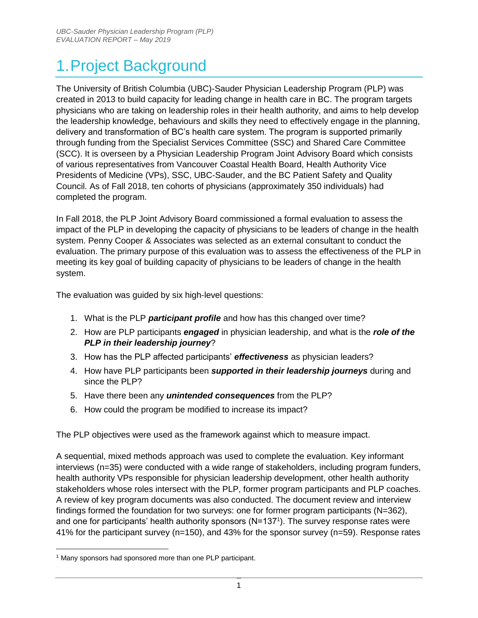# 1.Project Background

The University of British Columbia (UBC)-Sauder Physician Leadership Program (PLP) was created in 2013 to build capacity for leading change in health care in BC. The program targets physicians who are taking on leadership roles in their health authority, and aims to help develop the leadership knowledge, behaviours and skills they need to effectively engage in the planning, delivery and transformation of BC's health care system. The program is supported primarily through funding from the Specialist Services Committee (SSC) and Shared Care Committee (SCC). It is overseen by a Physician Leadership Program Joint Advisory Board which consists of various representatives from Vancouver Coastal Health Board, Health Authority Vice Presidents of Medicine (VPs), SSC, UBC-Sauder, and the BC Patient Safety and Quality Council. As of Fall 2018, ten cohorts of physicians (approximately 350 individuals) had completed the program.

In Fall 2018, the PLP Joint Advisory Board commissioned a formal evaluation to assess the impact of the PLP in developing the capacity of physicians to be leaders of change in the health system. Penny Cooper & Associates was selected as an external consultant to conduct the evaluation. The primary purpose of this evaluation was to assess the effectiveness of the PLP in meeting its key goal of building capacity of physicians to be leaders of change in the health system.

The evaluation was guided by six high-level questions:

- 1. What is the PLP *participant profile* and how has this changed over time?
- 2. How are PLP participants *engaged* in physician leadership, and what is the *role of the PLP in their leadership journey*?
- 3. How has the PLP affected participants' *effectiveness* as physician leaders?
- 4. How have PLP participants been *supported in their leadership journeys* during and since the PLP?
- 5. Have there been any *unintended consequences* from the PLP?
- 6. How could the program be modified to increase its impact?

The PLP objectives were used as the framework against which to measure impact.

A sequential, mixed methods approach was used to complete the evaluation. Key informant interviews (n=35) were conducted with a wide range of stakeholders, including program funders, health authority VPs responsible for physician leadership development, other health authority stakeholders whose roles intersect with the PLP, former program participants and PLP coaches. A review of key program documents was also conducted. The document review and interview findings formed the foundation for two surveys: one for former program participants (N=362), and one for participants' health authority sponsors (N=1371). The survey response rates were 41% for the participant survey (n=150), and 43% for the sponsor survey (n=59). Response rates

<sup>&</sup>lt;sup>1</sup> Many sponsors had sponsored more than one PLP participant.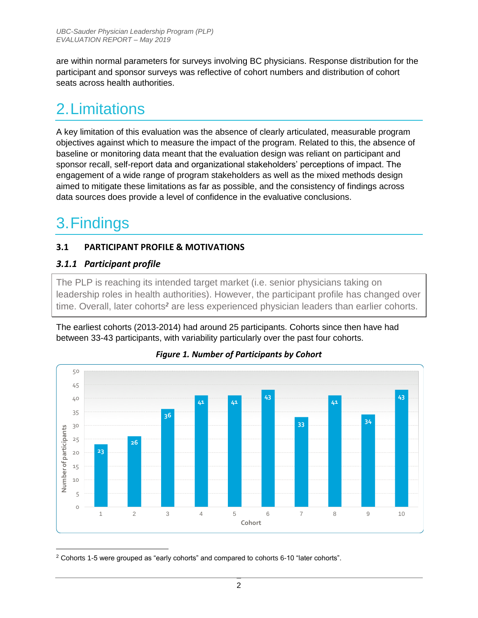are within normal parameters for surveys involving BC physicians. Response distribution for the participant and sponsor surveys was reflective of cohort numbers and distribution of cohort seats across health authorities.

## 2.Limitations

A key limitation of this evaluation was the absence of clearly articulated, measurable program objectives against which to measure the impact of the program. Related to this, the absence of baseline or monitoring data meant that the evaluation design was reliant on participant and sponsor recall, self-report data and organizational stakeholders' perceptions of impact. The engagement of a wide range of program stakeholders as well as the mixed methods design aimed to mitigate these limitations as far as possible, and the consistency of findings across data sources does provide a level of confidence in the evaluative conclusions.

# 3.Findings

#### **3.1 PARTICIPANT PROFILE & MOTIVATIONS**

#### *3.1.1 Participant profile*

The PLP is reaching its intended target market (i.e. senior physicians taking on leadership roles in health authorities). However, the participant profile has changed over time. Overall, later cohorts*<sup>2</sup>* are less experienced physician leaders than earlier cohorts.

The earliest cohorts (2013-2014) had around 25 participants. Cohorts since then have had between 33-43 participants, with variability particularly over the past four cohorts.





 <sup>2</sup> Cohorts 1-5 were grouped as "early cohorts" and compared to cohorts 6-10 "later cohorts".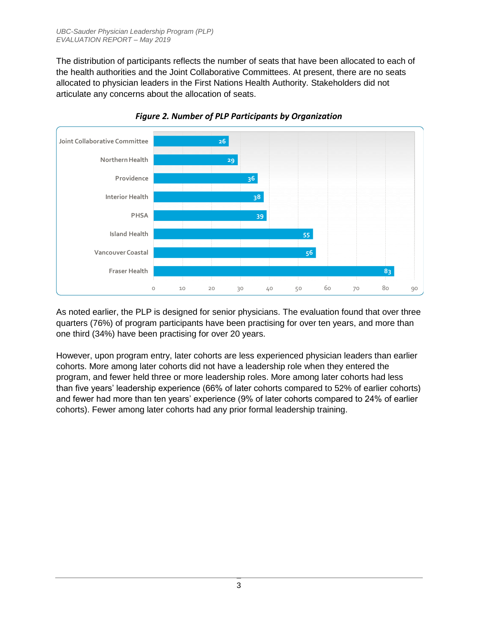The distribution of participants reflects the number of seats that have been allocated to each of the health authorities and the Joint Collaborative Committees. At present, there are no seats allocated to physician leaders in the First Nations Health Authority. Stakeholders did not articulate any concerns about the allocation of seats.





As noted earlier, the PLP is designed for senior physicians. The evaluation found that over three quarters (76%) of program participants have been practising for over ten years, and more than one third (34%) have been practising for over 20 years.

However, upon program entry, later cohorts are less experienced physician leaders than earlier cohorts. More among later cohorts did not have a leadership role when they entered the program, and fewer held three or more leadership roles. More among later cohorts had less than five years' leadership experience (66% of later cohorts compared to 52% of earlier cohorts) and fewer had more than ten years' experience (9% of later cohorts compared to 24% of earlier cohorts). Fewer among later cohorts had any prior formal leadership training.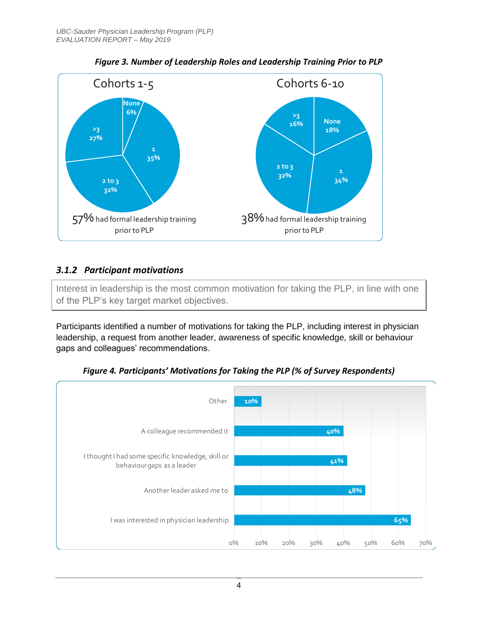

*Figure 3. Number of Leadership Roles and Leadership Training Prior to PLP*

#### *3.1.2 Participant motivations*

Interest in leadership is the most common motivation for taking the PLP, in line with one of the PLP's key target market objectives.

Participants identified a number of motivations for taking the PLP, including interest in physician leadership, a request from another leader, awareness of specific knowledge, skill or behaviour gaps and colleagues' recommendations.



*Figure 4. Participants' Motivations for Taking the PLP (% of Survey Respondents)*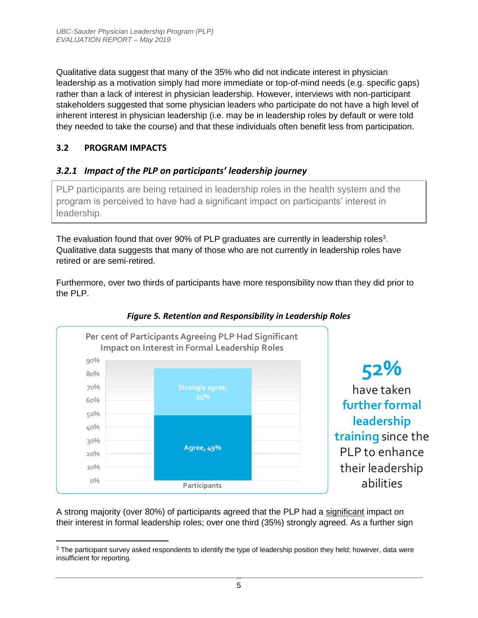Qualitative data suggest that many of the 35% who did not indicate interest in physician leadership as a motivation simply had more immediate or top-of-mind needs (e.g. specific gaps) rather than a lack of interest in physician leadership. However, interviews with non-participant stakeholders suggested that some physician leaders who participate do not have a high level of inherent interest in physician leadership (i.e. may be in leadership roles by default or were told they needed to take the course) and that these individuals often benefit less from participation.

#### **3.2 PROGRAM IMPACTS**

 $\overline{a}$ 

#### *3.2.1 Impact of the PLP on participants' leadership journey*

PLP participants are being retained in leadership roles in the health system and the program is perceived to have had a significant impact on participants' interest in leadership.

The evaluation found that over 90% of PLP graduates are currently in leadership roles<sup>3</sup>. Qualitative data suggests that many of those who are not currently in leadership roles have retired or are semi-retired.

Furthermore, over two thirds of participants have more responsibility now than they did prior to the PLP.



#### *Figure 5. Retention and Responsibility in Leadership Roles*

A strong majority (over 80%) of participants agreed that the PLP had a significant impact on their interest in formal leadership roles; over one third (35%) strongly agreed. As a further sign

<sup>&</sup>lt;sup>3</sup> The participant survey asked respondents to identify the type of leadership position they held; however, data were insufficient for reporting.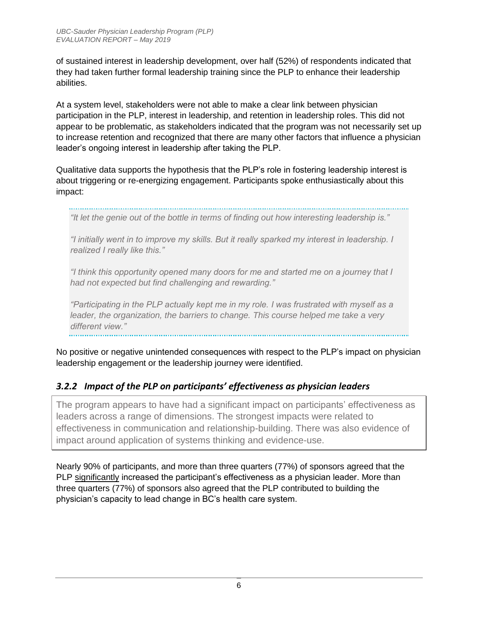of sustained interest in leadership development, over half (52%) of respondents indicated that they had taken further formal leadership training since the PLP to enhance their leadership abilities.

At a system level, stakeholders were not able to make a clear link between physician participation in the PLP, interest in leadership, and retention in leadership roles. This did not appear to be problematic, as stakeholders indicated that the program was not necessarily set up to increase retention and recognized that there are many other factors that influence a physician leader's ongoing interest in leadership after taking the PLP.

Qualitative data supports the hypothesis that the PLP's role in fostering leadership interest is about triggering or re-energizing engagement. Participants spoke enthusiastically about this impact:

*"It let the genie out of the bottle in terms of finding out how interesting leadership is."*

*"I initially went in to improve my skills. But it really sparked my interest in leadership. I realized I really like this."*

*"I think this opportunity opened many doors for me and started me on a journey that I had not expected but find challenging and rewarding."*

*"Participating in the PLP actually kept me in my role. I was frustrated with myself as a leader, the organization, the barriers to change. This course helped me take a very different view."*

No positive or negative unintended consequences with respect to the PLP's impact on physician leadership engagement or the leadership journey were identified.

#### *3.2.2 Impact of the PLP on participants' effectiveness as physician leaders*

The program appears to have had a significant impact on participants' effectiveness as leaders across a range of dimensions. The strongest impacts were related to effectiveness in communication and relationship-building. There was also evidence of impact around application of systems thinking and evidence-use.

Nearly 90% of participants, and more than three quarters (77%) of sponsors agreed that the PLP significantly increased the participant's effectiveness as a physician leader. More than three quarters (77%) of sponsors also agreed that the PLP contributed to building the physician's capacity to lead change in BC's health care system.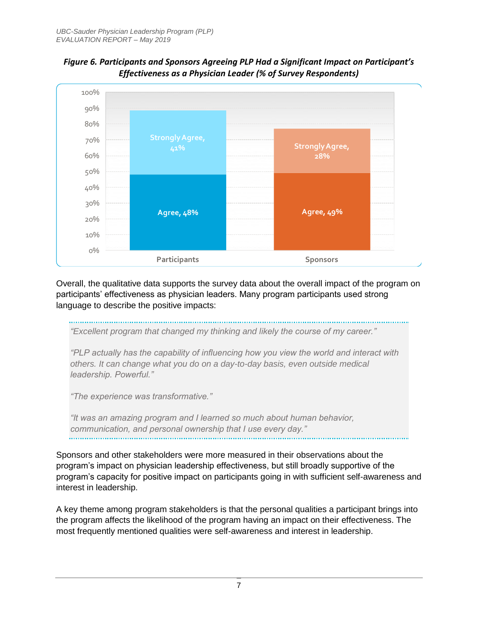



Overall, the qualitative data supports the survey data about the overall impact of the program on participants' effectiveness as physician leaders. Many program participants used strong language to describe the positive impacts:

*"Excellent program that changed my thinking and likely the course of my career."*

*"PLP actually has the capability of influencing how you view the world and interact with others. It can change what you do on a day-to-day basis, even outside medical leadership. Powerful."*

*"The experience was transformative."*

*"It was an amazing program and I learned so much about human behavior, communication, and personal ownership that I use every day."*

Sponsors and other stakeholders were more measured in their observations about the program's impact on physician leadership effectiveness, but still broadly supportive of the program's capacity for positive impact on participants going in with sufficient self-awareness and interest in leadership.

A key theme among program stakeholders is that the personal qualities a participant brings into the program affects the likelihood of the program having an impact on their effectiveness. The most frequently mentioned qualities were self-awareness and interest in leadership.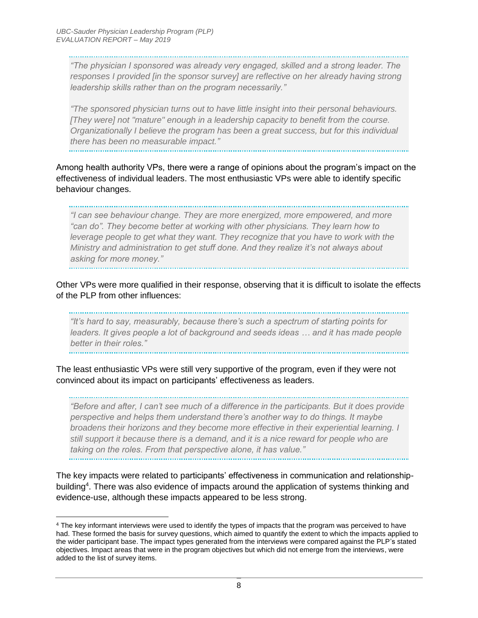$\overline{a}$ 

*leadership skills rather than on the program necessarily."*

*"The physician I sponsored was already very engaged, skilled and a strong leader. The responses I provided [in the sponsor survey] are reflective on her already having strong* 

*"The sponsored physician turns out to have little insight into their personal behaviours.*  [They were] not "mature" enough in a leadership capacity to benefit from the course. *Organizationally I believe the program has been a great success, but for this individual there has been no measurable impact."*

Among health authority VPs, there were a range of opinions about the program's impact on the effectiveness of individual leaders. The most enthusiastic VPs were able to identify specific behaviour changes.

*"I can see behaviour change. They are more energized, more empowered, and more "can do". They become better at working with other physicians. They learn how to leverage people to get what they want. They recognize that you have to work with the Ministry and administration to get stuff done. And they realize it's not always about asking for more money."*

Other VPs were more qualified in their response, observing that it is difficult to isolate the effects of the PLP from other influences:

*"It's hard to say, measurably, because there's such a spectrum of starting points for*  leaders. It gives people a lot of background and seeds ideas ... and it has made people *better in their roles."*

The least enthusiastic VPs were still very supportive of the program, even if they were not convinced about its impact on participants' effectiveness as leaders.

*"Before and after, I can't see much of a difference in the participants. But it does provide perspective and helps them understand there's another way to do things. It maybe broadens their horizons and they become more effective in their experiential learning. I still support it because there is a demand, and it is a nice reward for people who are taking on the roles. From that perspective alone, it has value."*

The key impacts were related to participants' effectiveness in communication and relationshipbuilding<sup>4</sup>. There was also evidence of impacts around the application of systems thinking and evidence-use, although these impacts appeared to be less strong.

<sup>&</sup>lt;sup>4</sup> The key informant interviews were used to identify the types of impacts that the program was perceived to have had. These formed the basis for survey questions, which aimed to quantify the extent to which the impacts applied to the wider participant base. The impact types generated from the interviews were compared against the PLP's stated objectives. Impact areas that were in the program objectives but which did not emerge from the interviews, were added to the list of survey items.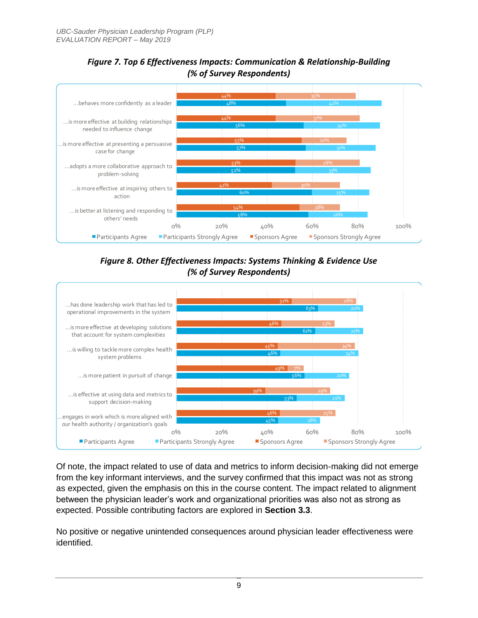

#### *Figure 7. Top 6 Effectiveness Impacts: Communication & Relationship-Building (% of Survey Respondents)*

*Figure 8. Other Effectiveness Impacts: Systems Thinking & Evidence Use (% of Survey Respondents)*



Of note, the impact related to use of data and metrics to inform decision-making did not emerge from the key informant interviews, and the survey confirmed that this impact was not as strong as expected, given the emphasis on this in the course content. The impact related to alignment between the physician leader's work and organizational priorities was also not as strong as expected. Possible contributing factors are explored in **Section 3.3**.

No positive or negative unintended consequences around physician leader effectiveness were identified.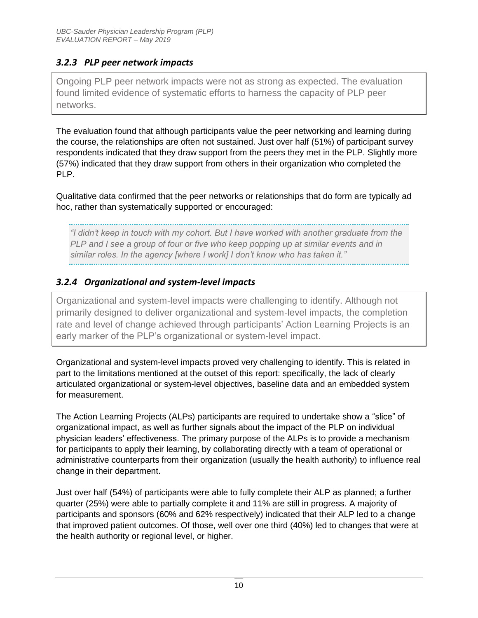#### *3.2.3 PLP peer network impacts*

Ongoing PLP peer network impacts were not as strong as expected. The evaluation found limited evidence of systematic efforts to harness the capacity of PLP peer networks.

The evaluation found that although participants value the peer networking and learning during the course, the relationships are often not sustained. Just over half (51%) of participant survey respondents indicated that they draw support from the peers they met in the PLP. Slightly more (57%) indicated that they draw support from others in their organization who completed the PLP.

Qualitative data confirmed that the peer networks or relationships that do form are typically ad hoc, rather than systematically supported or encouraged:

*"I didn't keep in touch with my cohort. But I have worked with another graduate from the PLP and I see a group of four or five who keep popping up at similar events and in similar roles. In the agency [where I work] I don't know who has taken it."*

#### *3.2.4 Organizational and system-level impacts*

Organizational and system-level impacts were challenging to identify. Although not primarily designed to deliver organizational and system-level impacts, the completion rate and level of change achieved through participants' Action Learning Projects is an early marker of the PLP's organizational or system-level impact.

Organizational and system-level impacts proved very challenging to identify. This is related in part to the limitations mentioned at the outset of this report: specifically, the lack of clearly articulated organizational or system-level objectives, baseline data and an embedded system for measurement.

The Action Learning Projects (ALPs) participants are required to undertake show a "slice" of organizational impact, as well as further signals about the impact of the PLP on individual physician leaders' effectiveness. The primary purpose of the ALPs is to provide a mechanism for participants to apply their learning, by collaborating directly with a team of operational or administrative counterparts from their organization (usually the health authority) to influence real change in their department.

Just over half (54%) of participants were able to fully complete their ALP as planned; a further quarter (25%) were able to partially complete it and 11% are still in progress. A majority of participants and sponsors (60% and 62% respectively) indicated that their ALP led to a change that improved patient outcomes. Of those, well over one third (40%) led to changes that were at the health authority or regional level, or higher.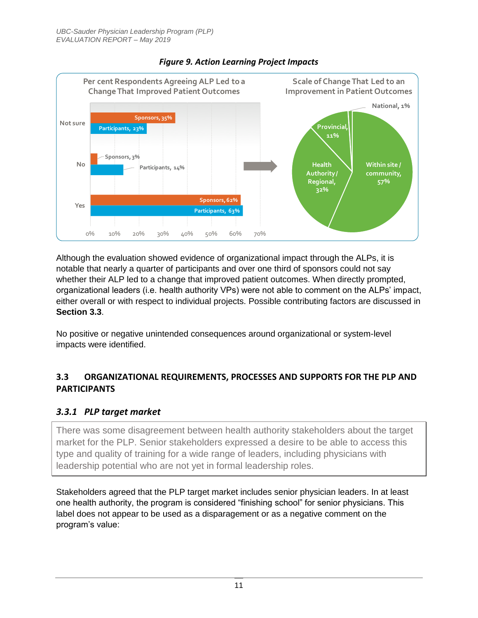

#### *Figure 9. Action Learning Project Impacts*

Although the evaluation showed evidence of organizational impact through the ALPs, it is notable that nearly a quarter of participants and over one third of sponsors could not say whether their ALP led to a change that improved patient outcomes. When directly prompted, organizational leaders (i.e. health authority VPs) were not able to comment on the ALPs' impact, either overall or with respect to individual projects. Possible contributing factors are discussed in **Section 3.3**.

No positive or negative unintended consequences around organizational or system-level impacts were identified.

#### **3.3 ORGANIZATIONAL REQUIREMENTS, PROCESSES AND SUPPORTS FOR THE PLP AND PARTICIPANTS**

#### *3.3.1 PLP target market*

There was some disagreement between health authority stakeholders about the target market for the PLP. Senior stakeholders expressed a desire to be able to access this type and quality of training for a wide range of leaders, including physicians with leadership potential who are not yet in formal leadership roles.

Stakeholders agreed that the PLP target market includes senior physician leaders. In at least one health authority, the program is considered "finishing school" for senior physicians. This label does not appear to be used as a disparagement or as a negative comment on the program's value: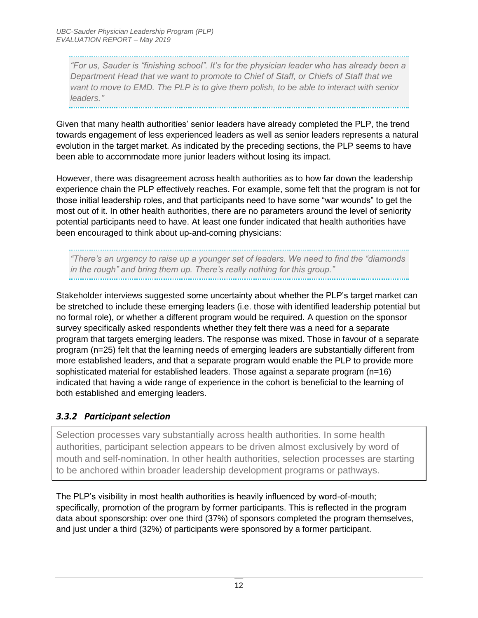*"For us, Sauder is "finishing school". It's for the physician leader who has already been a Department Head that we want to promote to Chief of Staff, or Chiefs of Staff that we want to move to EMD. The PLP is to give them polish, to be able to interact with senior leaders."*

Given that many health authorities' senior leaders have already completed the PLP, the trend towards engagement of less experienced leaders as well as senior leaders represents a natural evolution in the target market. As indicated by the preceding sections, the PLP seems to have been able to accommodate more junior leaders without losing its impact.

However, there was disagreement across health authorities as to how far down the leadership experience chain the PLP effectively reaches. For example, some felt that the program is not for those initial leadership roles, and that participants need to have some "war wounds" to get the most out of it. In other health authorities, there are no parameters around the level of seniority potential participants need to have. At least one funder indicated that health authorities have been encouraged to think about up-and-coming physicians:

*"There's an urgency to raise up a younger set of leaders. We need to find the "diamonds in the rough" and bring them up. There's really nothing for this group."*

Stakeholder interviews suggested some uncertainty about whether the PLP's target market can be stretched to include these emerging leaders (i.e. those with identified leadership potential but no formal role), or whether a different program would be required. A question on the sponsor survey specifically asked respondents whether they felt there was a need for a separate program that targets emerging leaders. The response was mixed. Those in favour of a separate program (n=25) felt that the learning needs of emerging leaders are substantially different from more established leaders, and that a separate program would enable the PLP to provide more sophisticated material for established leaders. Those against a separate program (n=16) indicated that having a wide range of experience in the cohort is beneficial to the learning of both established and emerging leaders.

#### *3.3.2 Participant selection*

Selection processes vary substantially across health authorities. In some health authorities, participant selection appears to be driven almost exclusively by word of mouth and self-nomination. In other health authorities, selection processes are starting to be anchored within broader leadership development programs or pathways.

The PLP's visibility in most health authorities is heavily influenced by word-of-mouth; specifically, promotion of the program by former participants. This is reflected in the program data about sponsorship: over one third (37%) of sponsors completed the program themselves, and just under a third (32%) of participants were sponsored by a former participant.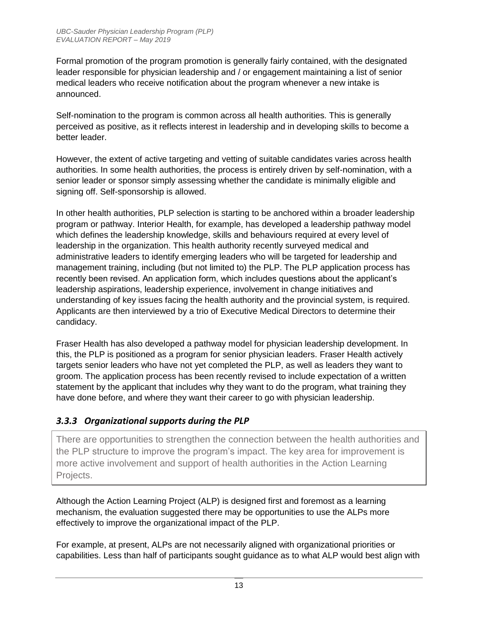Formal promotion of the program promotion is generally fairly contained, with the designated leader responsible for physician leadership and / or engagement maintaining a list of senior medical leaders who receive notification about the program whenever a new intake is announced.

Self-nomination to the program is common across all health authorities. This is generally perceived as positive, as it reflects interest in leadership and in developing skills to become a better leader.

However, the extent of active targeting and vetting of suitable candidates varies across health authorities. In some health authorities, the process is entirely driven by self-nomination, with a senior leader or sponsor simply assessing whether the candidate is minimally eligible and signing off. Self-sponsorship is allowed.

In other health authorities, PLP selection is starting to be anchored within a broader leadership program or pathway. Interior Health, for example, has developed a leadership pathway model which defines the leadership knowledge, skills and behaviours required at every level of leadership in the organization. This health authority recently surveyed medical and administrative leaders to identify emerging leaders who will be targeted for leadership and management training, including (but not limited to) the PLP. The PLP application process has recently been revised. An application form, which includes questions about the applicant's leadership aspirations, leadership experience, involvement in change initiatives and understanding of key issues facing the health authority and the provincial system, is required. Applicants are then interviewed by a trio of Executive Medical Directors to determine their candidacy.

Fraser Health has also developed a pathway model for physician leadership development. In this, the PLP is positioned as a program for senior physician leaders. Fraser Health actively targets senior leaders who have not yet completed the PLP, as well as leaders they want to groom. The application process has been recently revised to include expectation of a written statement by the applicant that includes why they want to do the program, what training they have done before, and where they want their career to go with physician leadership.

#### *3.3.3 Organizational supports during the PLP*

There are opportunities to strengthen the connection between the health authorities and the PLP structure to improve the program's impact. The key area for improvement is more active involvement and support of health authorities in the Action Learning Projects.

Although the Action Learning Project (ALP) is designed first and foremost as a learning mechanism, the evaluation suggested there may be opportunities to use the ALPs more effectively to improve the organizational impact of the PLP.

For example, at present, ALPs are not necessarily aligned with organizational priorities or capabilities. Less than half of participants sought guidance as to what ALP would best align with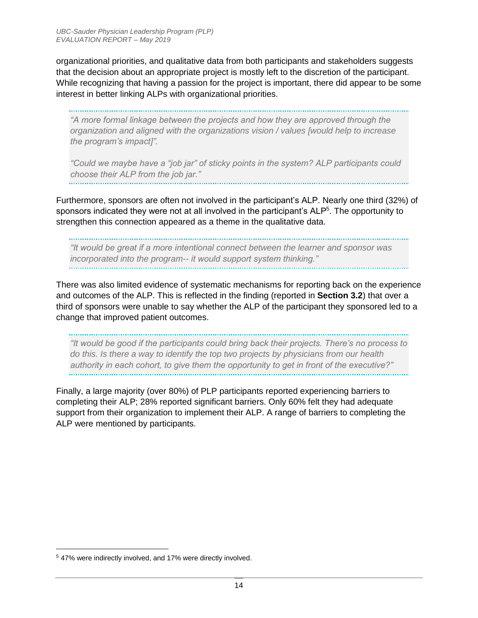organizational priorities, and qualitative data from both participants and stakeholders suggests that the decision about an appropriate project is mostly left to the discretion of the participant. While recognizing that having a passion for the project is important, there did appear to be some interest in better linking ALPs with organizational priorities.

*"A more formal linkage between the projects and how they are approved through the organization and aligned with the organizations vision / values [would help to increase the program's impact]".*

*"Could we maybe have a "job jar" of sticky points in the system? ALP participants could choose their ALP from the job jar."*

Furthermore, sponsors are often not involved in the participant's ALP. Nearly one third (32%) of sponsors indicated they were not at all involved in the participant's ALP<sup>5</sup>. The opportunity to strengthen this connection appeared as a theme in the qualitative data.

*"It would be great if a more intentional connect between the learner and sponsor was incorporated into the program-- it would support system thinking."*

There was also limited evidence of systematic mechanisms for reporting back on the experience and outcomes of the ALP. This is reflected in the finding (reported in **Section 3.2**) that over a third of sponsors were unable to say whether the ALP of the participant they sponsored led to a change that improved patient outcomes.

*"It would be good if the participants could bring back their projects. There's no process to do this. Is there a way to identify the top two projects by physicians from our health authority in each cohort, to give them the opportunity to get in front of the executive?"*

Finally, a large majority (over 80%) of PLP participants reported experiencing barriers to completing their ALP; 28% reported significant barriers. Only 60% felt they had adequate support from their organization to implement their ALP. A range of barriers to completing the ALP were mentioned by participants.

<sup>5</sup> 47% were indirectly involved, and 17% were directly involved.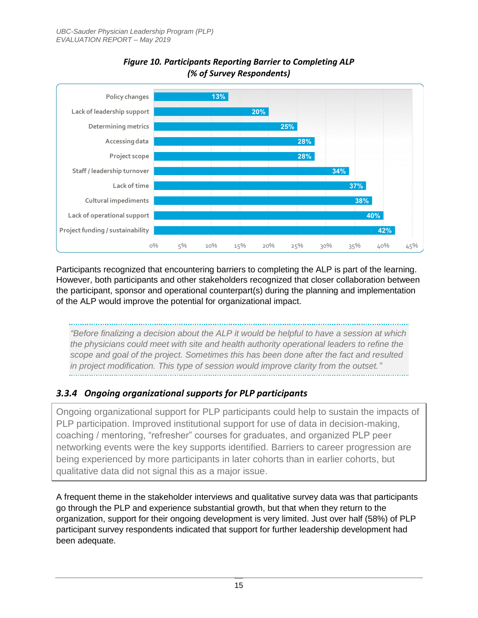

#### *Figure 10. Participants Reporting Barrier to Completing ALP (% of Survey Respondents)*

Participants recognized that encountering barriers to completing the ALP is part of the learning. However, both participants and other stakeholders recognized that closer collaboration between the participant, sponsor and operational counterpart(s) during the planning and implementation of the ALP would improve the potential for organizational impact.

*"Before finalizing a decision about the ALP it would be helpful to have a session at which the physicians could meet with site and health authority operational leaders to refine the scope and goal of the project. Sometimes this has been done after the fact and resulted in project modification. This type of session would improve clarity from the outset."*

#### *3.3.4 Ongoing organizational supports for PLP participants*

Ongoing organizational support for PLP participants could help to sustain the impacts of PLP participation. Improved institutional support for use of data in decision-making, coaching / mentoring, "refresher" courses for graduates, and organized PLP peer networking events were the key supports identified. Barriers to career progression are being experienced by more participants in later cohorts than in earlier cohorts, but qualitative data did not signal this as a major issue.

A frequent theme in the stakeholder interviews and qualitative survey data was that participants go through the PLP and experience substantial growth, but that when they return to the organization, support for their ongoing development is very limited. Just over half (58%) of PLP participant survey respondents indicated that support for further leadership development had been adequate.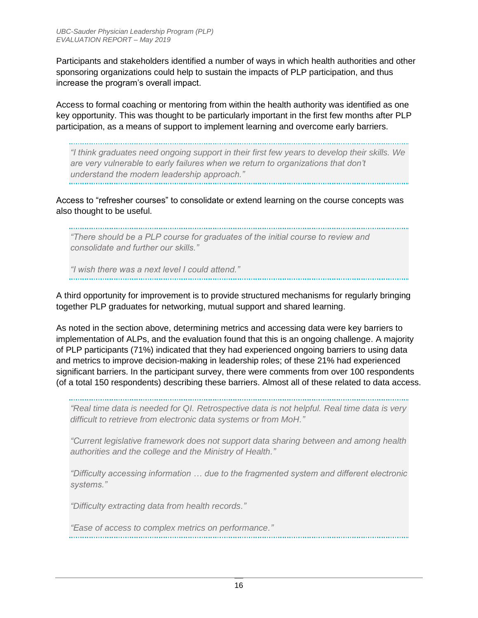Participants and stakeholders identified a number of ways in which health authorities and other sponsoring organizations could help to sustain the impacts of PLP participation, and thus increase the program's overall impact.

Access to formal coaching or mentoring from within the health authority was identified as one key opportunity. This was thought to be particularly important in the first few months after PLP participation, as a means of support to implement learning and overcome early barriers.

*"I think graduates need ongoing support in their first few years to develop their skills. We are very vulnerable to early failures when we return to organizations that don't understand the modern leadership approach."*

Access to "refresher courses" to consolidate or extend learning on the course concepts was also thought to be useful.

*"There should be a PLP course for graduates of the initial course to review and consolidate and further our skills."*

*"I wish there was a next level I could attend."*

A third opportunity for improvement is to provide structured mechanisms for regularly bringing together PLP graduates for networking, mutual support and shared learning.

As noted in the section above, determining metrics and accessing data were key barriers to implementation of ALPs, and the evaluation found that this is an ongoing challenge. A majority of PLP participants (71%) indicated that they had experienced ongoing barriers to using data and metrics to improve decision-making in leadership roles; of these 21% had experienced significant barriers. In the participant survey, there were comments from over 100 respondents (of a total 150 respondents) describing these barriers. Almost all of these related to data access.

*"Real time data is needed for QI. Retrospective data is not helpful. Real time data is very difficult to retrieve from electronic data systems or from MoH."*

*"Current legislative framework does not support data sharing between and among health authorities and the college and the Ministry of Health."*

*"Difficulty accessing information … due to the fragmented system and different electronic systems."*

*"Difficulty extracting data from health records."*

*"Ease of access to complex metrics on performance."*